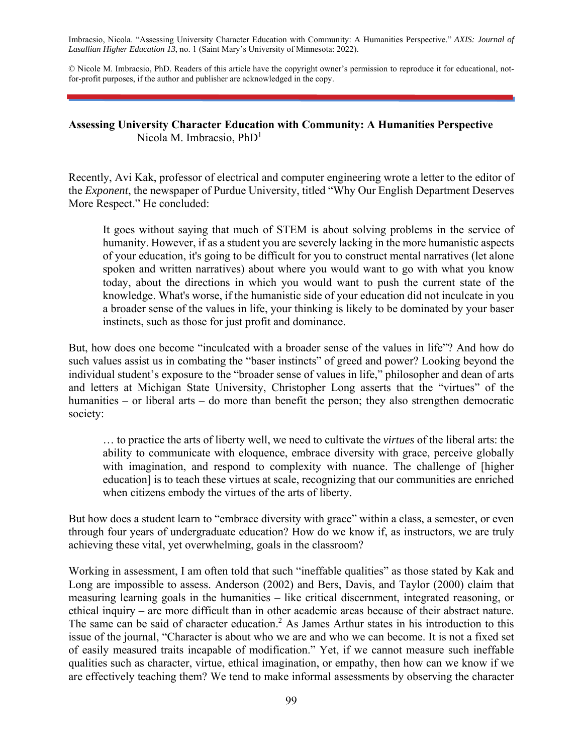Imbracsio, Nicola. "Assessing University Character Education with Community: A Humanities Perspective." *AXIS: Journal of Lasallian Higher Education 13*, no. 1 (Saint Mary's University of Minnesota: 2022).

© Nicole M. Imbracsio, PhD. Readers of this article have the copyright owner's permission to reproduce it for educational, notfor-profit purposes, if the author and publisher are acknowledged in the copy.

#### **Assessing University Character Education with Community: A Humanities Perspective**  Nicola M. Imbracsio, PhD<sup>1</sup>

Recently, Avi Kak, professor of electrical and computer engineering wrote a letter to the editor of the *Exponent*, the newspaper of Purdue University, titled "Why Our English Department Deserves More Respect." He concluded:

It goes without saying that much of STEM is about solving problems in the service of humanity. However, if as a student you are severely lacking in the more humanistic aspects of your education, it's going to be difficult for you to construct mental narratives (let alone spoken and written narratives) about where you would want to go with what you know today, about the directions in which you would want to push the current state of the knowledge. What's worse, if the humanistic side of your education did not inculcate in you a broader sense of the values in life, your thinking is likely to be dominated by your baser instincts, such as those for just profit and dominance.

But, how does one become "inculcated with a broader sense of the values in life"? And how do such values assist us in combating the "baser instincts" of greed and power? Looking beyond the individual student's exposure to the "broader sense of values in life," philosopher and dean of arts and letters at Michigan State University, Christopher Long asserts that the "virtues" of the humanities – or liberal arts – do more than benefit the person; they also strengthen democratic society:

… to practice the arts of liberty well, we need to cultivate the *virtues* of the liberal arts: the ability to communicate with eloquence, embrace diversity with grace, perceive globally with imagination, and respond to complexity with nuance. The challenge of [higher education] is to teach these virtues at scale, recognizing that our communities are enriched when citizens embody the virtues of the arts of liberty.

But how does a student learn to "embrace diversity with grace" within a class, a semester, or even through four years of undergraduate education? How do we know if, as instructors, we are truly achieving these vital, yet overwhelming, goals in the classroom?

Working in assessment, I am often told that such "ineffable qualities" as those stated by Kak and Long are impossible to assess. Anderson (2002) and Bers, Davis, and Taylor (2000) claim that measuring learning goals in the humanities – like critical discernment, integrated reasoning, or ethical inquiry – are more difficult than in other academic areas because of their abstract nature. The same can be said of character education.<sup>2</sup> As James Arthur states in his introduction to this issue of the journal, "Character is about who we are and who we can become. It is not a fixed set of easily measured traits incapable of modification." Yet, if we cannot measure such ineffable qualities such as character, virtue, ethical imagination, or empathy, then how can we know if we are effectively teaching them? We tend to make informal assessments by observing the character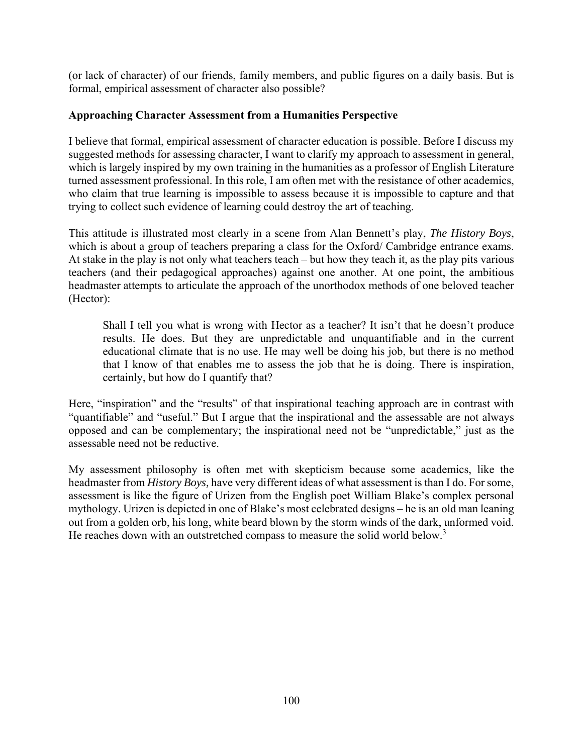(or lack of character) of our friends, family members, and public figures on a daily basis. But is formal, empirical assessment of character also possible?

## **Approaching Character Assessment from a Humanities Perspective**

I believe that formal, empirical assessment of character education is possible. Before I discuss my suggested methods for assessing character, I want to clarify my approach to assessment in general, which is largely inspired by my own training in the humanities as a professor of English Literature turned assessment professional. In this role, I am often met with the resistance of other academics, who claim that true learning is impossible to assess because it is impossible to capture and that trying to collect such evidence of learning could destroy the art of teaching.

This attitude is illustrated most clearly in a scene from Alan Bennett's play, *The History Boys*, which is about a group of teachers preparing a class for the Oxford/ Cambridge entrance exams. At stake in the play is not only what teachers teach – but how they teach it, as the play pits various teachers (and their pedagogical approaches) against one another. At one point, the ambitious headmaster attempts to articulate the approach of the unorthodox methods of one beloved teacher (Hector):

Shall I tell you what is wrong with Hector as a teacher? It isn't that he doesn't produce results. He does. But they are unpredictable and unquantifiable and in the current educational climate that is no use. He may well be doing his job, but there is no method that I know of that enables me to assess the job that he is doing. There is inspiration, certainly, but how do I quantify that?

Here, "inspiration" and the "results" of that inspirational teaching approach are in contrast with "quantifiable" and "useful." But I argue that the inspirational and the assessable are not always opposed and can be complementary; the inspirational need not be "unpredictable," just as the assessable need not be reductive.

My assessment philosophy is often met with skepticism because some academics, like the headmaster from *History Boys,* have very different ideas of what assessment is than I do. For some, assessment is like the figure of Urizen from the English poet William Blake's complex personal mythology. Urizen is depicted in one of Blake's most celebrated designs – he is an old man leaning out from a golden orb, his long, white beard blown by the storm winds of the dark, unformed void. He reaches down with an outstretched compass to measure the solid world below.<sup>3</sup>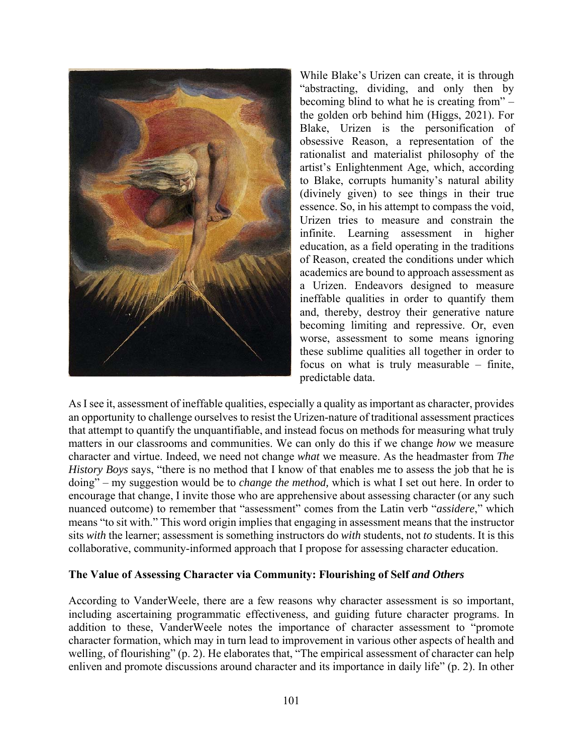

While Blake's Urizen can create, it is through "abstracting, dividing, and only then by becoming blind to what he is creating from" – the golden orb behind him (Higgs, 2021). For Blake, Urizen is the personification of obsessive Reason, a representation of the rationalist and materialist philosophy of the artist's Enlightenment Age, which, according to Blake, corrupts humanity's natural ability (divinely given) to see things in their true essence. So, in his attempt to compass the void, Urizen tries to measure and constrain the infinite. Learning assessment in higher education, as a field operating in the traditions of Reason, created the conditions under which academics are bound to approach assessment as a Urizen. Endeavors designed to measure ineffable qualities in order to quantify them and, thereby, destroy their generative nature becoming limiting and repressive. Or, even worse, assessment to some means ignoring these sublime qualities all together in order to focus on what is truly measurable – finite, predictable data.

As I see it, assessment of ineffable qualities, especially a quality as important as character, provides an opportunity to challenge ourselves to resist the Urizen-nature of traditional assessment practices that attempt to quantify the unquantifiable, and instead focus on methods for measuring what truly matters in our classrooms and communities. We can only do this if we change *how* we measure character and virtue. Indeed, we need not change *what* we measure. As the headmaster from *The History Boys* says, "there is no method that I know of that enables me to assess the job that he is doing" – my suggestion would be to *change the method,* which is what I set out here. In order to encourage that change, I invite those who are apprehensive about assessing character (or any such nuanced outcome) to remember that "assessment" comes from the Latin verb "*assidere*," which means "to sit with." This word origin implies that engaging in assessment means that the instructor sits *with* the learner; assessment is something instructors do *with* students, not *to* students. It is this collaborative, community-informed approach that I propose for assessing character education.

### **The Value of Assessing Character via Community: Flourishing of Self** *and Others*

According to VanderWeele, there are a few reasons why character assessment is so important, including ascertaining programmatic effectiveness, and guiding future character programs. In addition to these, VanderWeele notes the importance of character assessment to "promote character formation, which may in turn lead to improvement in various other aspects of health and welling, of flourishing" (p. 2). He elaborates that, "The empirical assessment of character can help enliven and promote discussions around character and its importance in daily life" (p. 2). In other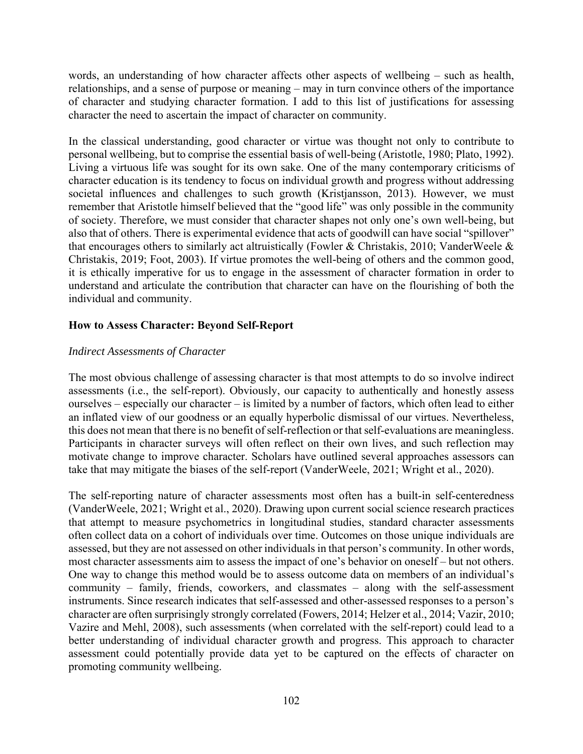words, an understanding of how character affects other aspects of wellbeing – such as health, relationships, and a sense of purpose or meaning – may in turn convince others of the importance of character and studying character formation. I add to this list of justifications for assessing character the need to ascertain the impact of character on community.

In the classical understanding, good character or virtue was thought not only to contribute to personal wellbeing, but to comprise the essential basis of well-being (Aristotle, 1980; Plato, 1992). Living a virtuous life was sought for its own sake. One of the many contemporary criticisms of character education is its tendency to focus on individual growth and progress without addressing societal influences and challenges to such growth (Kristjansson, 2013). However, we must remember that Aristotle himself believed that the "good life" was only possible in the community of society. Therefore, we must consider that character shapes not only one's own well-being, but also that of others. There is experimental evidence that acts of goodwill can have social "spillover" that encourages others to similarly act altruistically (Fowler & Christakis, 2010; VanderWeele & Christakis, 2019; Foot, 2003). If virtue promotes the well-being of others and the common good, it is ethically imperative for us to engage in the assessment of character formation in order to understand and articulate the contribution that character can have on the flourishing of both the individual and community.

# **How to Assess Character: Beyond Self-Report**

### *Indirect Assessments of Character*

The most obvious challenge of assessing character is that most attempts to do so involve indirect assessments (i.e., the self-report). Obviously, our capacity to authentically and honestly assess ourselves – especially our character – is limited by a number of factors, which often lead to either an inflated view of our goodness or an equally hyperbolic dismissal of our virtues. Nevertheless, this does not mean that there is no benefit of self-reflection or that self-evaluations are meaningless. Participants in character surveys will often reflect on their own lives, and such reflection may motivate change to improve character. Scholars have outlined several approaches assessors can take that may mitigate the biases of the self-report (VanderWeele, 2021; Wright et al., 2020).

The self-reporting nature of character assessments most often has a built-in self-centeredness (VanderWeele, 2021; Wright et al., 2020). Drawing upon current social science research practices that attempt to measure psychometrics in longitudinal studies, standard character assessments often collect data on a cohort of individuals over time. Outcomes on those unique individuals are assessed, but they are not assessed on other individuals in that person's community. In other words, most character assessments aim to assess the impact of one's behavior on oneself – but not others. One way to change this method would be to assess outcome data on members of an individual's community – family, friends, coworkers, and classmates – along with the self-assessment instruments. Since research indicates that self-assessed and other-assessed responses to a person's character are often surprisingly strongly correlated (Fowers, 2014; Helzer et al., 2014; Vazir, 2010; Vazire and Mehl, 2008), such assessments (when correlated with the self-report) could lead to a better understanding of individual character growth and progress. This approach to character assessment could potentially provide data yet to be captured on the effects of character on promoting community wellbeing.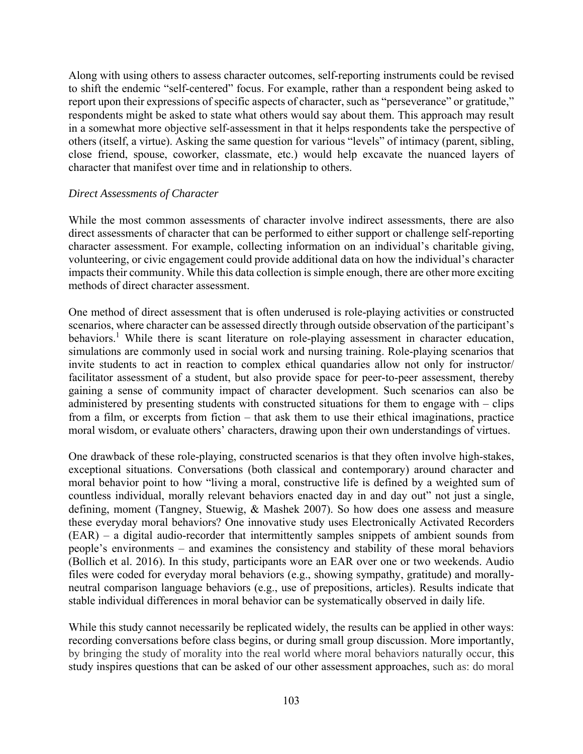Along with using others to assess character outcomes, self-reporting instruments could be revised to shift the endemic "self-centered" focus. For example, rather than a respondent being asked to report upon their expressions of specific aspects of character, such as "perseverance" or gratitude," respondents might be asked to state what others would say about them. This approach may result in a somewhat more objective self-assessment in that it helps respondents take the perspective of others (itself, a virtue). Asking the same question for various "levels" of intimacy (parent, sibling, close friend, spouse, coworker, classmate, etc.) would help excavate the nuanced layers of character that manifest over time and in relationship to others.

#### *Direct Assessments of Character*

While the most common assessments of character involve indirect assessments, there are also direct assessments of character that can be performed to either support or challenge self-reporting character assessment. For example, collecting information on an individual's charitable giving, volunteering, or civic engagement could provide additional data on how the individual's character impacts their community. While this data collection is simple enough, there are other more exciting methods of direct character assessment.

One method of direct assessment that is often underused is role-playing activities or constructed scenarios, where character can be assessed directly through outside observation of the participant's behaviors.<sup>1</sup> While there is scant literature on role-playing assessment in character education, simulations are commonly used in social work and nursing training. Role-playing scenarios that invite students to act in reaction to complex ethical quandaries allow not only for instructor/ facilitator assessment of a student, but also provide space for peer-to-peer assessment, thereby gaining a sense of community impact of character development. Such scenarios can also be administered by presenting students with constructed situations for them to engage with – clips from a film, or excerpts from fiction – that ask them to use their ethical imaginations, practice moral wisdom, or evaluate others' characters, drawing upon their own understandings of virtues.

One drawback of these role-playing, constructed scenarios is that they often involve high-stakes, exceptional situations. Conversations (both classical and contemporary) around character and moral behavior point to how "living a moral, constructive life is defined by a weighted sum of countless individual, morally relevant behaviors enacted day in and day out" not just a single, defining, moment (Tangney, Stuewig, & Mashek 2007). So how does one assess and measure these everyday moral behaviors? One innovative study uses Electronically Activated Recorders (EAR) – a digital audio-recorder that intermittently samples snippets of ambient sounds from people's environments – and examines the consistency and stability of these moral behaviors (Bollich et al. 2016). In this study, participants wore an EAR over one or two weekends. Audio files were coded for everyday moral behaviors (e.g., showing sympathy, gratitude) and morallyneutral comparison language behaviors (e.g., use of prepositions, articles). Results indicate that stable individual differences in moral behavior can be systematically observed in daily life.

While this study cannot necessarily be replicated widely, the results can be applied in other ways: recording conversations before class begins, or during small group discussion. More importantly, by bringing the study of morality into the real world where moral behaviors naturally occur, this study inspires questions that can be asked of our other assessment approaches, such as: do moral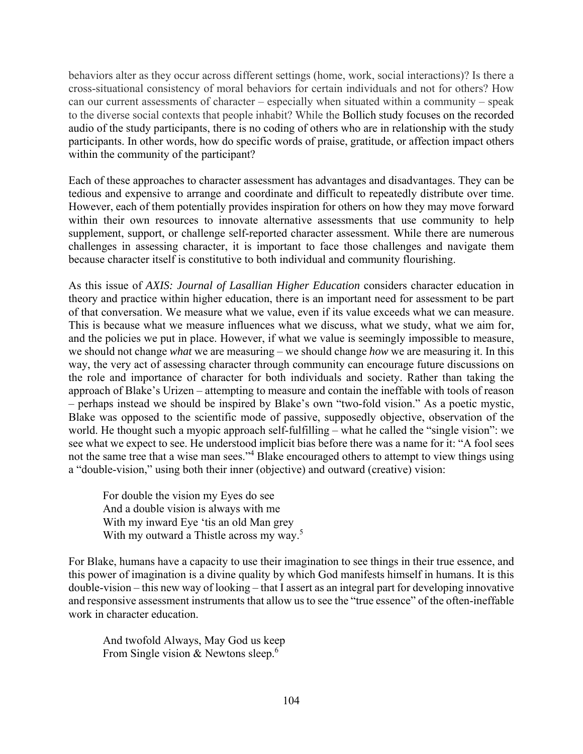behaviors alter as they occur across different settings (home, work, social interactions)? Is there a cross-situational consistency of moral behaviors for certain individuals and not for others? How can our current assessments of character – especially when situated within a community – speak to the diverse social contexts that people inhabit? While the Bollich study focuses on the recorded audio of the study participants, there is no coding of others who are in relationship with the study participants. In other words, how do specific words of praise, gratitude, or affection impact others within the community of the participant?

Each of these approaches to character assessment has advantages and disadvantages. They can be tedious and expensive to arrange and coordinate and difficult to repeatedly distribute over time. However, each of them potentially provides inspiration for others on how they may move forward within their own resources to innovate alternative assessments that use community to help supplement, support, or challenge self-reported character assessment. While there are numerous challenges in assessing character, it is important to face those challenges and navigate them because character itself is constitutive to both individual and community flourishing.

As this issue of *AXIS: Journal of Lasallian Higher Education* considers character education in theory and practice within higher education, there is an important need for assessment to be part of that conversation. We measure what we value, even if its value exceeds what we can measure. This is because what we measure influences what we discuss, what we study, what we aim for, and the policies we put in place. However, if what we value is seemingly impossible to measure, we should not change *what* we are measuring – we should change *how* we are measuring it. In this way, the very act of assessing character through community can encourage future discussions on the role and importance of character for both individuals and society. Rather than taking the approach of Blake's Urizen – attempting to measure and contain the ineffable with tools of reason – perhaps instead we should be inspired by Blake's own "two-fold vision." As a poetic mystic, Blake was opposed to the scientific mode of passive, supposedly objective, observation of the world. He thought such a myopic approach self-fulfilling – what he called the "single vision": we see what we expect to see. He understood implicit bias before there was a name for it: "A fool sees not the same tree that a wise man sees."<sup>4</sup> Blake encouraged others to attempt to view things using a "double-vision," using both their inner (objective) and outward (creative) vision:

For double the vision my Eyes do see And a double vision is always with me With my inward Eye 'tis an old Man grey With my outward a Thistle across my way.<sup>5</sup>

For Blake, humans have a capacity to use their imagination to see things in their true essence, and this power of imagination is a divine quality by which God manifests himself in humans. It is this double-vision – this new way of looking – that I assert as an integral part for developing innovative and responsive assessment instruments that allow us to see the "true essence" of the often-ineffable work in character education.

And twofold Always, May God us keep From Single vision & Newtons sleep.<sup>6</sup>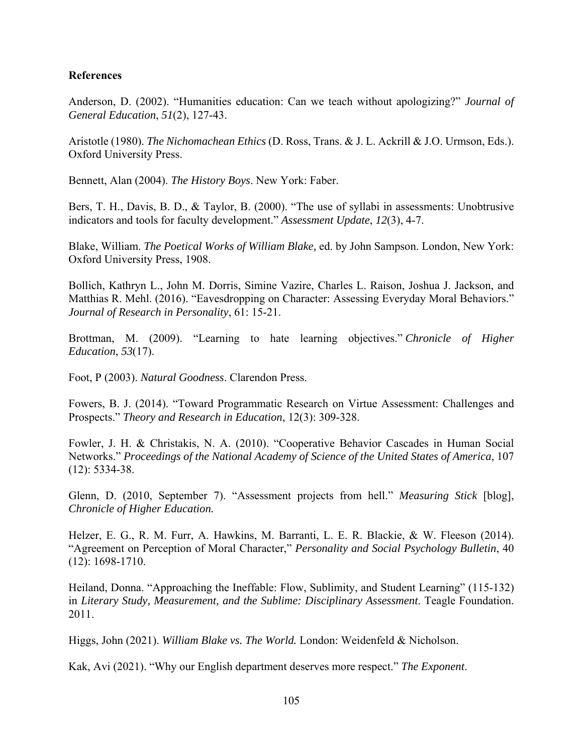### **References**

Anderson, D. (2002). "Humanities education: Can we teach without apologizing?" *Journal of General Education*, *51*(2), 127-43.

Aristotle (1980). *The Nichomachean Ethics* (D. Ross, Trans. & J. L. Ackrill & J.O. Urmson, Eds.). Oxford University Press.

Bennett, Alan (2004). *The History Boys*. New York: Faber.

Bers, T. H., Davis, B. D., & Taylor, B. (2000). "The use of syllabi in assessments: Unobtrusive indicators and tools for faculty development." *Assessment Update*, *12*(3), 4-7.

Blake, William. *The Poetical Works of William Blake,* ed. by John Sampson. London, New York: Oxford University Press, 1908.

Bollich, Kathryn L., John M. Dorris, Simine Vazire, Charles L. Raison, Joshua J. Jackson, and Matthias R. Mehl. (2016). "Eavesdropping on Character: Assessing Everyday Moral Behaviors." *Journal of Research in Personality*, 61: 15-21.

Brottman, M. (2009). "Learning to hate learning objectives." *Chronicle of Higher Education*, *53*(17).

Foot, P (2003). *Natural Goodness*. Clarendon Press.

Fowers, B. J. (2014). "Toward Programmatic Research on Virtue Assessment: Challenges and Prospects." *Theory and Research in Education*, 12(3): 309-328.

Fowler, J. H. & Christakis, N. A. (2010). "Cooperative Behavior Cascades in Human Social Networks." *Proceedings of the National Academy of Science of the United States of America*, 107 (12): 5334-38.

Glenn, D. (2010, September 7). "Assessment projects from hell." *Measuring Stick* [blog], *Chronicle of Higher Education.* 

Helzer, E. G., R. M. Furr, A. Hawkins, M. Barranti, L. E. R. Blackie, & W. Fleeson (2014). "Agreement on Perception of Moral Character," *Personality and Social Psychology Bulletin*, 40 (12): 1698-1710.

Heiland, Donna. "Approaching the Ineffable: Flow, Sublimity, and Student Learning" (115-132) in *Literary Study, Measurement, and the Sublime: Disciplinary Assessment*. Teagle Foundation. 2011.

Higgs, John (2021). *William Blake vs. The World.* London: Weidenfeld & Nicholson.

Kak, Avi (2021). "Why our English department deserves more respect." *The Exponent*.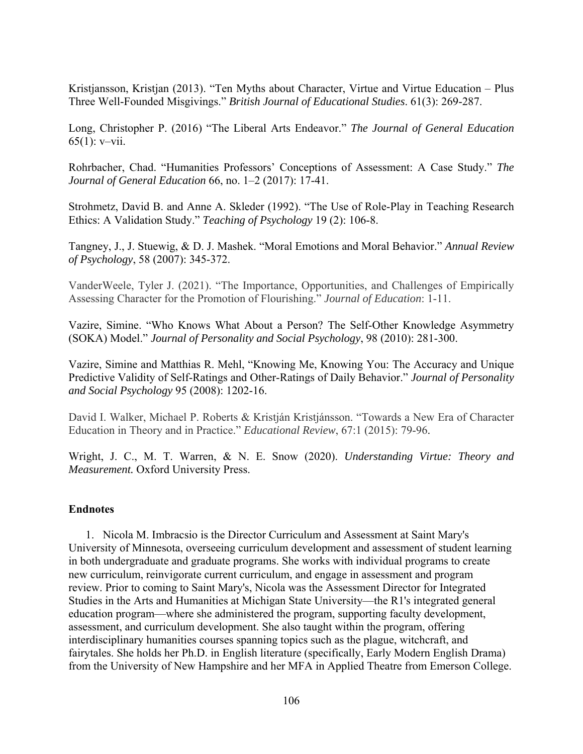Kristjansson, Kristjan (2013). "Ten Myths about Character, Virtue and Virtue Education – Plus Three Well-Founded Misgivings." *British Journal of Educational Studies*. 61(3): 269-287.

Long, Christopher P. (2016) "The Liberal Arts Endeavor." *The Journal of General Education* 65(1): v–vii.

Rohrbacher, Chad. "Humanities Professors' Conceptions of Assessment: A Case Study." *The Journal of General Education* 66, no. 1–2 (2017): 17-41.

Strohmetz, David B. and Anne A. Skleder (1992). "The Use of Role-Play in Teaching Research Ethics: A Validation Study." *Teaching of Psychology* 19 (2): 106-8.

Tangney, J., J. Stuewig, & D. J. Mashek. "Moral Emotions and Moral Behavior." *Annual Review of Psychology*, 58 (2007): 345-372.

VanderWeele, Tyler J. (2021). "The Importance, Opportunities, and Challenges of Empirically Assessing Character for the Promotion of Flourishing." *Journal of Education*: 1-11.

Vazire, Simine. "Who Knows What About a Person? The Self-Other Knowledge Asymmetry (SOKA) Model." *Journal of Personality and Social Psychology*, 98 (2010): 281-300.

Vazire, Simine and Matthias R. Mehl, "Knowing Me, Knowing You: The Accuracy and Unique Predictive Validity of Self-Ratings and Other-Ratings of Daily Behavior." *Journal of Personality and Social Psychology* 95 (2008): 1202-16.

David I. Walker, Michael P. Roberts & Kristján Kristjánsson. "Towards a New Era of Character Education in Theory and in Practice." *Educational Review*, 67:1 (2015): 79-96.

Wright, J. C., M. T. Warren, & N. E. Snow (2020). *Understanding Virtue: Theory and Measurement.* Oxford University Press.

# **Endnotes**

1. Nicola M. Imbracsio is the Director Curriculum and Assessment at Saint Mary's University of Minnesota, overseeing curriculum development and assessment of student learning in both undergraduate and graduate programs. She works with individual programs to create new curriculum, reinvigorate current curriculum, and engage in assessment and program review. Prior to coming to Saint Mary's, Nicola was the Assessment Director for Integrated Studies in the Arts and Humanities at Michigan State University—the R1's integrated general education program—where she administered the program, supporting faculty development, assessment, and curriculum development. She also taught within the program, offering interdisciplinary humanities courses spanning topics such as the plague, witchcraft, and fairytales. She holds her Ph.D. in English literature (specifically, Early Modern English Drama) from the University of New Hampshire and her MFA in Applied Theatre from Emerson College.